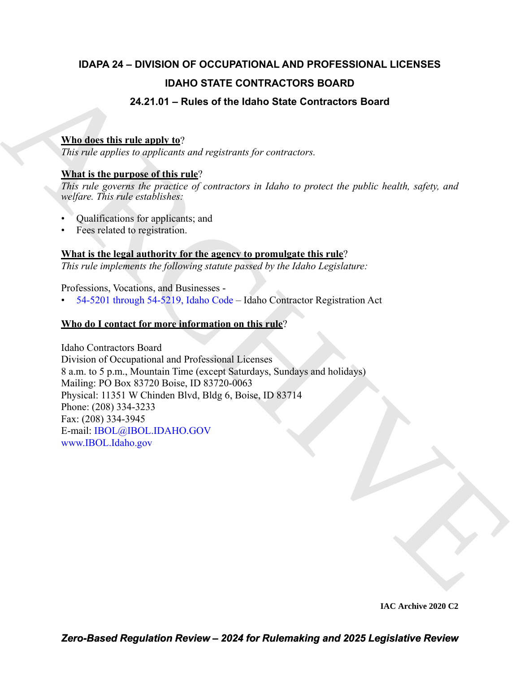## **IDAPA 24 – DIVISION OF OCCUPATIONAL AND PROFESSIONAL LICENSES IDAHO STATE CONTRACTORS BOARD 24.21.01 – Rules of the Idaho State Contractors Board**

#### **Who does this rule apply to**?

*This rule applies to applicants and registrants for contractors.*

#### **What is the purpose of this rule**?

*This rule governs the practice of contractors in Idaho to protect the public health, safety, and welfare. This rule establishes:*

- Qualifications for applicants; and
- Fees related to registration.

#### **What is the legal authority for the agency to promulgate this rule**?

*This rule implements the following statute passed by the Idaho Legislature:*

Professions, Vocations, and Businesses -

• 54-5201 through 54-5219, Idaho Code – Idaho Contractor Registration Act

#### **Who do I contact for more information on this rule**?

**EXAMPLE CONTRACTORS BOARD**<br>
24.21.0.1 – Rules of the liabre State Contractors Board<br>
22.21.0.1 – Rules of the latino State Contractors Board<br>
23. This ratio complex to applicate of constraints; for anticomorphe and the p Idaho Contractors Board Division of Occupational and Professional Licenses 8 a.m. to 5 p.m., Mountain Time (except Saturdays, Sundays and holidays) Mailing: PO Box 83720 Boise, ID 83720-0063 Physical: 11351 W Chinden Blvd, Bldg 6, Boise, ID 83714 Phone: (208) 334-3233 Fax: (208) 334-3945 E-mail: IBOL@IBOL.IDAHO.GOV www.IBOL.Idaho.gov

**IAC Archive 2020 C2**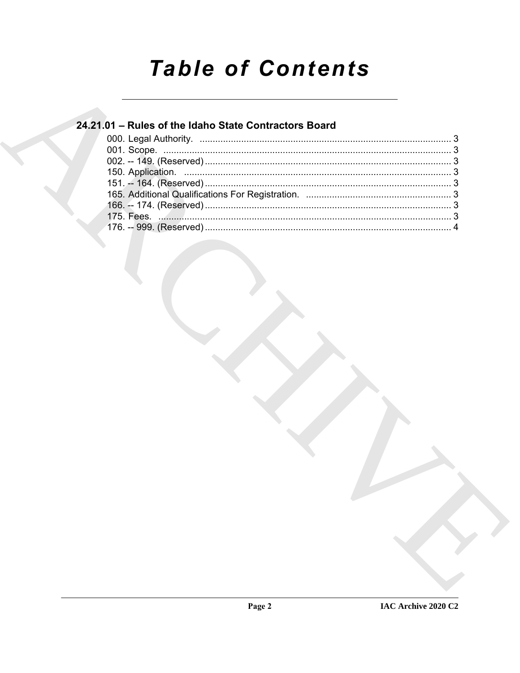# **Table of Contents**

### 24.21.01 - Rules of the Idaho State Contractors Board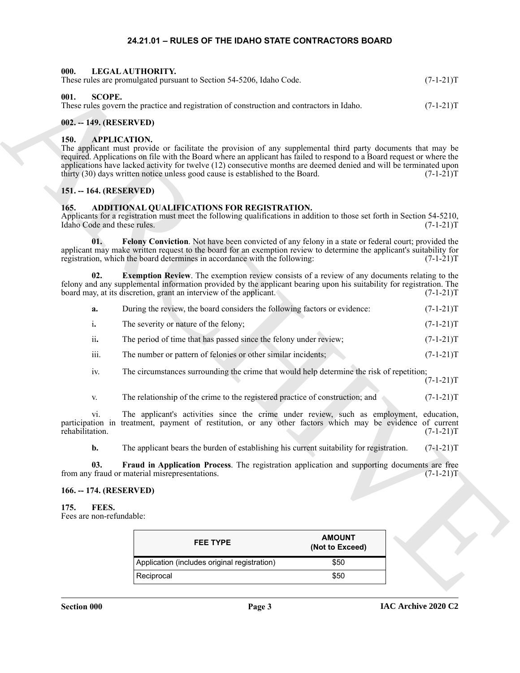#### **24.21.01 – RULES OF THE IDAHO STATE CONTRACTORS BOARD**

<span id="page-2-16"></span><span id="page-2-15"></span><span id="page-2-2"></span><span id="page-2-1"></span><span id="page-2-0"></span>

| -000.<br>LEGAL AUTHORITY.<br>These rules are promulgated pursuant to Section 54-5206, Idaho Code.             | $(7-1-21)T$ |
|---------------------------------------------------------------------------------------------------------------|-------------|
| -001.<br>SCOPE.<br>These rules govern the practice and registration of construction and contractors in Idaho. | $(7-1-21)T$ |

#### <span id="page-2-3"></span>**002. -- 149. (RESERVED)**

#### <span id="page-2-13"></span><span id="page-2-4"></span>**150. APPLICATION.**

#### <span id="page-2-5"></span>**151. -- 164. (RESERVED)**

#### <span id="page-2-11"></span><span id="page-2-10"></span><span id="page-2-9"></span><span id="page-2-6"></span>**165. ADDITIONAL QUALIFICATIONS FOR REGISTRATION.**

|  |                                           | These rules are promulgated pursuant to Section 54-5206, Idaho Code.                                                                                                                                                                                                                                                                                                                                                                                                  | $(7-1-21)T$               |
|--|-------------------------------------------|-----------------------------------------------------------------------------------------------------------------------------------------------------------------------------------------------------------------------------------------------------------------------------------------------------------------------------------------------------------------------------------------------------------------------------------------------------------------------|---------------------------|
|  | 001.<br><b>SCOPE.</b>                     | These rules govern the practice and registration of construction and contractors in Idaho.                                                                                                                                                                                                                                                                                                                                                                            | $(7-1-21)T$               |
|  | 002. -- 149. (RESERVED)                   |                                                                                                                                                                                                                                                                                                                                                                                                                                                                       |                           |
|  | 150.                                      | <b>APPLICATION.</b><br>The applicant must provide or facilitate the provision of any supplemental third party documents that may be<br>required. Applications on file with the Board where an applicant has failed to respond to a Board request or where the<br>applications have lacked activity for twelve (12) consecutive months are deemed denied and will be terminated upon<br>thirty (30) days written notice unless good cause is established to the Board. | $(7-1-21)T$               |
|  | 151. -- 164. (RESERVED)                   |                                                                                                                                                                                                                                                                                                                                                                                                                                                                       |                           |
|  | 165.<br>Idaho Code and these rules.       | ADDITIONAL QUALIFICATIONS FOR REGISTRATION.<br>Applicants for a registration must meet the following qualifications in addition to those set forth in Section 54-5210,                                                                                                                                                                                                                                                                                                | $(7-1-21)T$               |
|  | 01.                                       | Felony Conviction. Not have been convicted of any felony in a state or federal court; provided the<br>applicant may make written request to the board for an exemption review to determine the applicant's suitability for<br>registration, which the board determines in accordance with the following:                                                                                                                                                              | $(7-1-21)T$               |
|  | 02.                                       | <b>Exemption Review.</b> The exemption review consists of a review of any documents relating to the<br>felony and any supplemental information provided by the applicant bearing upon his suitability for registration. The<br>board may, at its discretion, grant an interview of the applicant.                                                                                                                                                                     | $(7-1-21)T$               |
|  | a.                                        | During the review, the board considers the following factors or evidence:                                                                                                                                                                                                                                                                                                                                                                                             | $(7-1-21)T$               |
|  | i.                                        | The severity or nature of the felony;                                                                                                                                                                                                                                                                                                                                                                                                                                 | $(7-1-21)T$               |
|  | ii.                                       | The period of time that has passed since the felony under review;                                                                                                                                                                                                                                                                                                                                                                                                     | $(7-1-21)T$               |
|  | iii.                                      | The number or pattern of felonies or other similar incidents;                                                                                                                                                                                                                                                                                                                                                                                                         | $(7-1-21)T$               |
|  | iv.                                       | The circumstances surrounding the crime that would help determine the risk of repetition;                                                                                                                                                                                                                                                                                                                                                                             | $(7-1-21)T$               |
|  | V.                                        | The relationship of the crime to the registered practice of construction; and                                                                                                                                                                                                                                                                                                                                                                                         | $(7-1-21)T$               |
|  | V1.<br>rehabilitation.                    | The applicant's activities since the crime under review, such as employment,<br>participation in treatment, payment of restitution, or any other factors which may be evidence of current                                                                                                                                                                                                                                                                             | education,<br>$(7-1-21)T$ |
|  | $\mathbf{b}$ .                            | The applicant bears the burden of establishing his current suitability for registration.                                                                                                                                                                                                                                                                                                                                                                              | $(7-1-21)T$               |
|  | 03.                                       | Fraud in Application Process. The registration application and supporting documents are free<br>from any fraud or material misrepresentations.                                                                                                                                                                                                                                                                                                                        | $(7-1-21)T$               |
|  | 166. -- 174. (RESERVED)                   |                                                                                                                                                                                                                                                                                                                                                                                                                                                                       |                           |
|  | FEES.<br>175.<br>Fees are non-refundable: |                                                                                                                                                                                                                                                                                                                                                                                                                                                                       |                           |
|  |                                           | <b>AMOUNT</b><br><b>FEE TYPE</b><br>(Not to Exceed)                                                                                                                                                                                                                                                                                                                                                                                                                   |                           |
|  |                                           | Application (includes original registration)<br>\$50                                                                                                                                                                                                                                                                                                                                                                                                                  |                           |
|  |                                           | Reciprocal<br>\$50                                                                                                                                                                                                                                                                                                                                                                                                                                                    |                           |

#### <span id="page-2-12"></span><span id="page-2-7"></span>**166. -- 174. (RESERVED)**

### <span id="page-2-14"></span><span id="page-2-8"></span>**175. FEES.**

| <b>FEE TYPE</b>                              | <b>AMOUNT</b><br>(Not to Exceed) |
|----------------------------------------------|----------------------------------|
| Application (includes original registration) | \$50                             |
| Reciprocal                                   | \$50                             |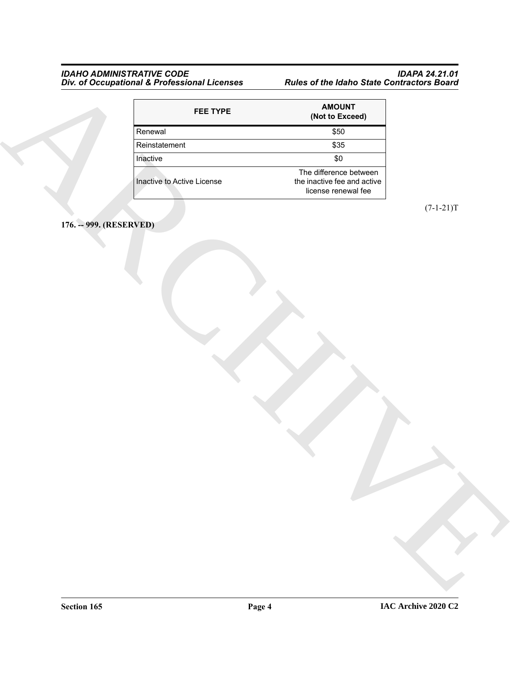#### <span id="page-3-0"></span>*IDAHO ADMINISTRATIVE CODE IDAPA 24.21.01 Div. of Occupational & Professional Licenses Rules of the Idaho State Contractors Board*